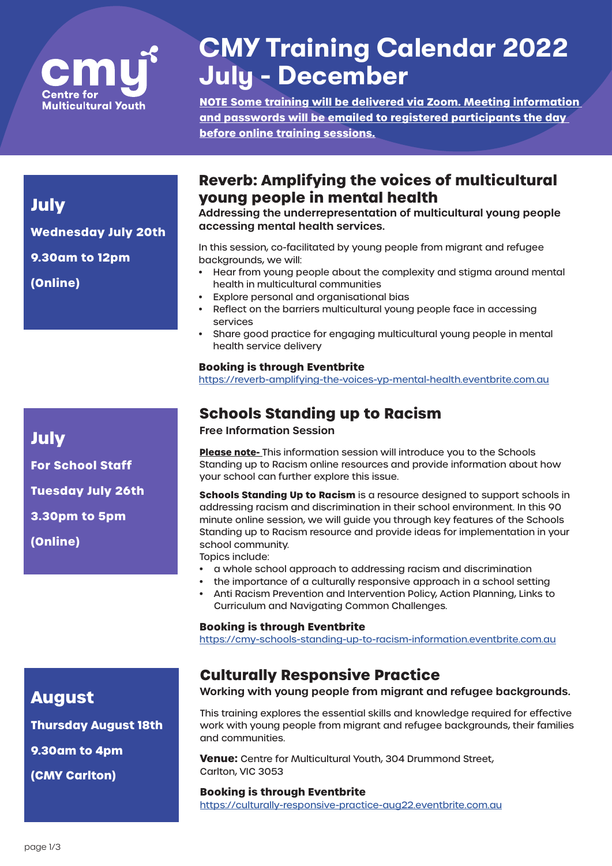

# **CMY Training Calendar 2022 July - December**

**NOTE Some training will be delivered via Zoom. Meeting information and passwords will be emailed to registered participants the day before online training sessions.**

### **Reverb: Amplifying the voices of multicultural young people in mental health**

**Addressing the underrepresentation of multicultural young people accessing mental health services.**

In this session, co-facilitated by young people from migrant and refugee backgrounds, we will:

- Hear from young people about the complexity and stigma around mental health in multicultural communities
- Explore personal and organisational bias
- Reflect on the barriers multicultural young people face in accessing services
- Share good practice for engaging multicultural young people in mental health service delivery

#### **Booking is through Eventbrite**

https://reverb-amplifying-the-voices-yp-mental-health.eventbrite.com.au

### **Schools Standing up to Racism**

**Free Information Session** 

**Please note-** This information session will introduce you to the Schools Standing up to Racism online resources and provide information about how your school can further explore this issue.

**Schools Standing Up to Racism** is a resource designed to support schools in addressing racism and discrimination in their school environment. In this 90 minute online session, we will guide you through key features of the Schools Standing up to Racism resource and provide ideas for implementation in your school community.

- Topics include:
- a whole school approach to addressing racism and discrimination
- the importance of a culturally responsive approach in a school setting
- Anti Racism Prevention and Intervention Policy, Action Planning, Links to Curriculum and Navigating Common Challenges.

#### **Booking is through Eventbrite**

https://cmy-schools-standing-up-to-racism-information.eventbrite.com.au

### **Culturally Responsive Practice**

**Working with young people from migrant and refugee backgrounds.**

This training explores the essential skills and knowledge required for effective work with young people from migrant and refugee backgrounds, their families and communities.

**Venue:** Centre for Multicultural Youth, 304 Drummond Street, Carlton, VIC 3053

#### **Booking is through Eventbrite**

https://culturally-responsive-practice-aug22.eventbrite.com.au

**July**

**Wednesday July 20th** 

**9.30am to 12pm**

**(Online)**

**July**

**For School Staff Tuesday July 26th 3.30pm to 5pm (Online)**

**Thursday August 18th**

**9.30am to 4pm**

**(CMY Carlton)**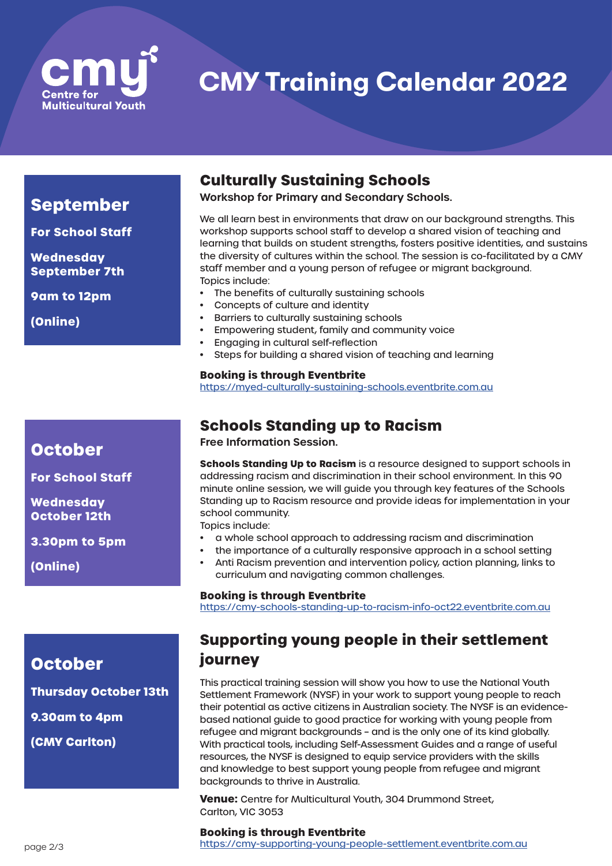

**CMY Training Calendar 2022**

### **September**

**For School Staff** 

**Wednesday September 7th** 

**9am to 12pm**

**(Online)**

### **October**

**For School Staff** 

**Wednesday October 12th** 

**3.30pm to 5pm**

**(Online)**

# **Culturally Sustaining Schools**

**Workshop for Primary and Secondary Schools.**

We all learn best in environments that draw on our background strengths. This workshop supports school staff to develop a shared vision of teaching and learning that builds on student strengths, fosters positive identities, and sustains the diversity of cultures within the school. The session is co-facilitated by a CMY staff member and a young person of refugee or migrant background. Topics include:

- The benefits of culturally sustaining schools
- Concepts of culture and identity
- Barriers to culturally sustaining schools
- Empowering student, family and community voice
- Engaging in cultural self-reflection
- Steps for building a shared vision of teaching and learning

**Booking is through Eventbrite**

https://myed-culturally-sustaining-schools.eventbrite.com.au

### **Schools Standing up to Racism**

**Free Information Session.**

**Schools Standing Up to Racism** is a resource designed to support schools in addressing racism and discrimination in their school environment. In this 90 minute online session, we will guide you through key features of the Schools Standing up to Racism resource and provide ideas for implementation in your school community.

Topics include:

- a whole school approach to addressing racism and discrimination
- the importance of a culturally responsive approach in a school setting
- Anti Racism prevention and intervention policy, action planning, links to curriculum and navigating common challenges.

#### **Booking is through Eventbrite**

https://cmy-schools-standing-up-to-racism-info-oct22.eventbrite.com.au

### **Supporting young people in their settlement journey**

This practical training session will show you how to use the National Youth Settlement Framework (NYSF) in your work to support young people to reach their potential as active citizens in Australian society. The NYSF is an evidencebased national guide to good practice for working with young people from refugee and migrant backgrounds – and is the only one of its kind globally. With practical tools, including Self-Assessment Guides and a range of useful resources, the NYSF is designed to equip service providers with the skills and knowledge to best support young people from refugee and migrant backgrounds to thrive in Australia.

**Venue:** Centre for Multicultural Youth, 304 Drummond Street, Carlton, VIC 3053

#### **Booking is through Eventbrite**

https://cmy-supporting-young-people-settlement.eventbrite.com.au

**Thursday October 13th**

```
9.30am to 4pm
```
**(CMY Carlton)**